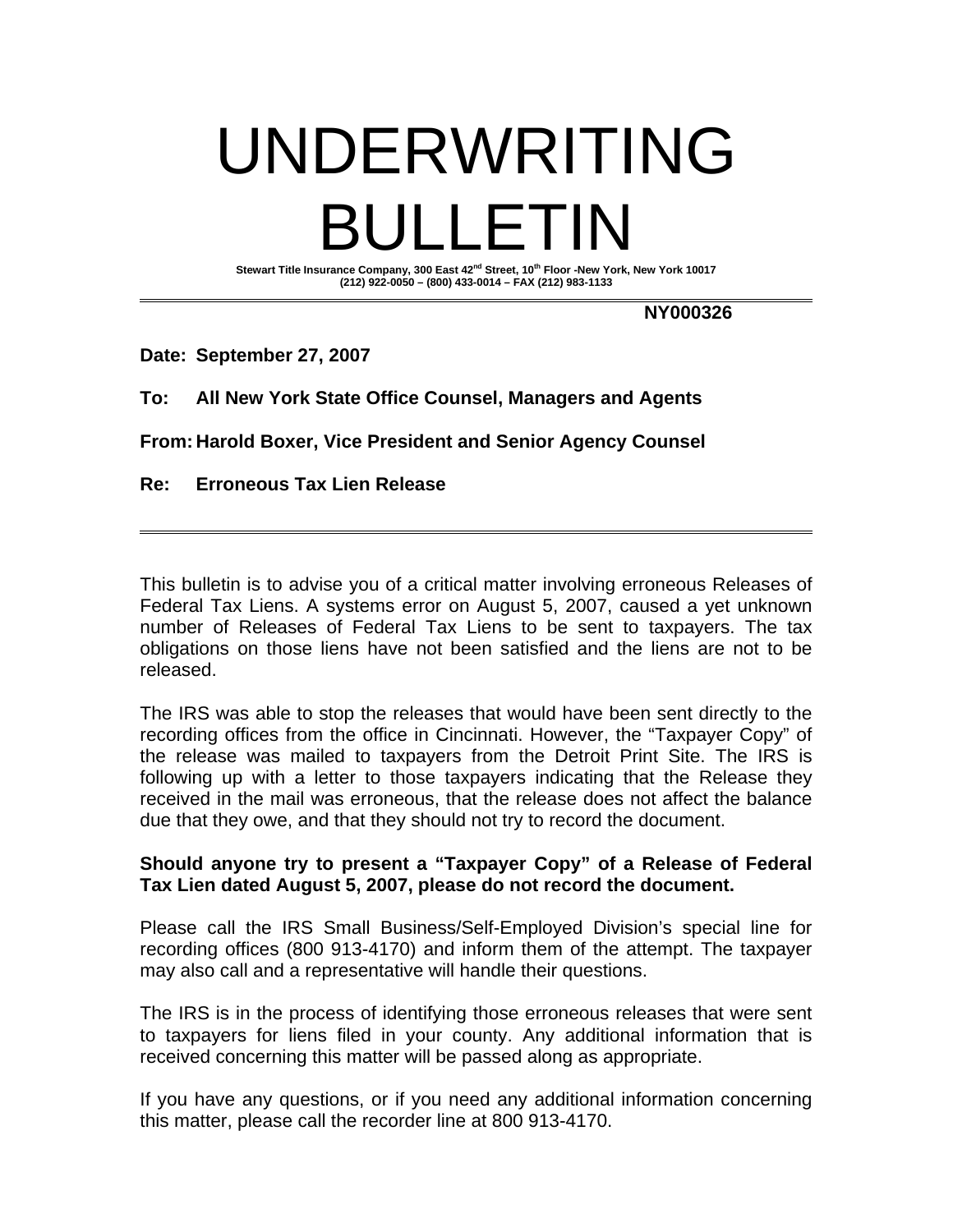## UNDERWRITING BULLETIN

Stewart Title Insurance Company, 300 East 42<sup>nd</sup> Street, 10<sup>th</sup> Floor -New York, New York 10017 **(212) 922-0050 – (800) 433-0014 – FAX (212) 983-1133** 

**NY000326** 

**Date: September 27, 2007** 

**To: All New York State Office Counsel, Managers and Agents** 

**From: Harold Boxer, Vice President and Senior Agency Counsel** 

**Re: Erroneous Tax Lien Release** 

This bulletin is to advise you of a critical matter involving erroneous Releases of Federal Tax Liens. A systems error on August 5, 2007, caused a yet unknown number of Releases of Federal Tax Liens to be sent to taxpayers. The tax obligations on those liens have not been satisfied and the liens are not to be released.

The IRS was able to stop the releases that would have been sent directly to the recording offices from the office in Cincinnati. However, the "Taxpayer Copy" of the release was mailed to taxpayers from the Detroit Print Site. The IRS is following up with a letter to those taxpayers indicating that the Release they received in the mail was erroneous, that the release does not affect the balance due that they owe, and that they should not try to record the document.

## **Should anyone try to present a "Taxpayer Copy" of a Release of Federal Tax Lien dated August 5, 2007, please do not record the document.**

Please call the IRS Small Business/Self-Employed Division's special line for recording offices (800 913-4170) and inform them of the attempt. The taxpayer may also call and a representative will handle their questions.

The IRS is in the process of identifying those erroneous releases that were sent to taxpayers for liens filed in your county. Any additional information that is received concerning this matter will be passed along as appropriate.

If you have any questions, or if you need any additional information concerning this matter, please call the recorder line at 800 913-4170.